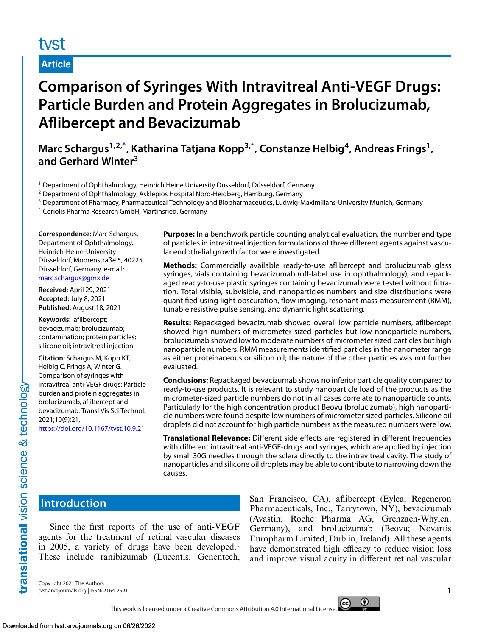# tyst

**Article**

# **Comparison of Syringes With Intravitreal Anti-VEGF Drugs: Particle Burden and Protein Aggregates in Brolucizumab, Aflibercept and Bevacizumab**

**Marc Schargus1,2[,\\*](#page-6-0) , Katharina Tatjana Kopp3[,\\*](#page-6-0) , Constanze Helbig4, Andreas Frings1, and Gerhard Winter<sup>3</sup>**

<sup>1</sup> Department of Ophthalmology, Heinrich Heine University Düsseldorf, Düsseldorf, Germany

<sup>2</sup> Department of Ophthalmology, Asklepios Hospital Nord-Heidberg, Hamburg, Germany

<sup>3</sup> Department of Pharmacy, Pharmaceutical Technology and Biopharmaceutics, Ludwig-Maximilians-University Munich, Germany

<sup>4</sup> Coriolis Pharma Research GmbH, Martinsried, Germany

**Correspondence:** Marc Schargus, Department of Ophthalmology, Heinrich-Heine-University Düsseldorf, Moorenstraße 5, 40225 Düsseldorf, Germany. e-mail: [marc.schargus@gmx.de](mailto:marc.schargus@gmx.de)

**Received:** April 29, 2021 **Accepted:** July 8, 2021 **Published:** August 18, 2021

**Keywords:** aflibercept; bevacizumab; brolucizumab; contamination; protein particles; silicone oil; intravitreal injection

**Citation:** Schargus M, Kopp KT, Helbig C, Frings A, Winter G. Comparison of syringes with intravitreal anti-VEGF drugs: Particle burden and protein aggregates in brolucizumab, aflibercept and bevacizumab. Transl Vis Sci Technol. 2021;10(9):21,

<https://doi.org/10.1167/tvst.10.9.21>

**Purpose:** In a benchwork particle counting analytical evaluation, the number and type of particles in intravitreal injection formulations of three different agents against vascular endothelial growth factor were investigated.

**Methods:** Commercially available ready-to-use aflibercept and brolucizumab glass syringes, vials containing bevacizumab (off-label use in ophthalmology), and repackaged ready-to-use plastic syringes containing bevacizumab were tested without filtration. Total visible, subvisible, and nanoparticles numbers and size distributions were quantified using light obscuration, flow imaging, resonant mass measurement (RMM), tunable resistive pulse sensing, and dynamic light scattering.

**Results:** Repackaged bevacizumab showed overall low particle numbers, aflibercept showed high numbers of micrometer sized particles but low nanoparticle numbers, brolucizumab showed low to moderate numbers of micrometer sized particles but high nanoparticle numbers. RMM measurements identified particles in the nanometer range as either proteinaceous or silicon oil; the nature of the other particles was not further evaluated.

**Conclusions:** Repackaged bevacizumab shows no inferior particle quality compared to ready-to-use products. It is relevant to study nanoparticle load of the products as the micrometer-sized particle numbers do not in all cases correlate to nanoparticle counts. Particularly for the high concentration product Beovu (brolucizumab), high nanoparticle numbers were found despite low numbers of micrometer sized particles. Silicone oil droplets did not account for high particle numbers as the measured numbers were low.

**Translational Relevance:** Different side effects are registered in different frequencies with different intravitreal anti-VEGF-drugs and syringes, which are applied by injection by small 30G needles through the sclera directly to the intravitreal cavity. The study of nanoparticles and silicone oil droplets may be able to contribute to narrowing down the causes.

# **Introduction**

translational vision science & technology

Since the first reports of the use of anti-VEGF agents for the treatment of retinal vascular diseases in 2005, a variety of drugs have been developed.<sup>[1](#page-6-0)</sup> These include ranibizumab (Lucentis; Genentech, San Francisco, CA), aflibercept (Eylea; Regeneron Pharmaceuticals, Inc., Tarrytown, NY), bevacizumab (Avastin; Roche Pharma AG, Grenzach-Whylen, Germany), and brolucizumab (Beovu; Novartis Europharm Limited, Dublin, Ireland). All these agents have demonstrated high efficacy to reduce vision loss and improve visual acuity in different retinal vascular

Copyright 2021 The Authors tvst.arvojournals.org | ISSN: 2164-2591 1

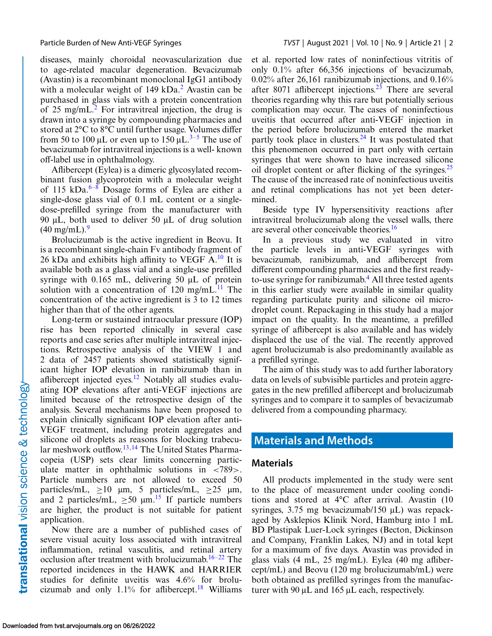diseases, mainly choroidal neovascularization due to age-related macular degeneration. Bevacizumab (Avastin) is a recombinant monoclonal IgG1 antibody with a molecular weight of  $149 \text{ kDa}^2$  $149 \text{ kDa}^2$ . Avastin can be purchased in glass vials with a protein concentration of 25 mg/mL $^2$ . For intravitreal injection, the drug is drawn into a syringe by compounding pharmacies and stored at 2°C to 8°C until further usage. Volumes differ from [5](#page-7-0)0 to 100 μL or even up to 150  $\mu$ L.<sup>[3–](#page-6-0)5</sup> The use of bevacizumab for intravitreal injections is a well- known off-label use in ophthalmology.

Aflibercept (Eylea) is a dimeric glycosylated recombinant fusion glycoprotein with a molecular weight of 115 kDa. $6-8$  Dosage forms of Eylea are either a single-dose glass vial of 0.1 mL content or a singledose-prefilled syringe from the manufacturer with 90 μL, both used to deliver 50 μL of drug solution  $(40 \text{ mg/mL})$ .<sup>[9](#page-7-0)</sup>

Brolucizumab is the active ingredient in Beovu. It is a recombinant single-chain Fv antibody fragment of 26 kDa and exhibits high affinity to VEGF  $A<sup>10</sup>$  $A<sup>10</sup>$  $A<sup>10</sup>$  It is available both as a glass vial and a single-use prefilled syringe with 0.165 mL, delivering 50 μL of protein solution with a concentration of 120 mg/mL $^{11}$  The concentration of the active ingredient is 3 to 12 times higher than that of the other agents.

Long-term or sustained intraocular pressure (IOP) rise has been reported clinically in several case reports and case series after multiple intravitreal injections. Retrospective analysis of the VIEW 1 and 2 data of 2457 patients showed statistically significant higher IOP elevation in ranibizumab than in aflibercept injected eyes.<sup>[12](#page-7-0)</sup> Notably all studies evaluating IOP elevations after anti-VEGF injections are limited because of the retrospective design of the analysis. Several mechanisms have been proposed to explain clinically significant IOP elevation after anti-VEGF treatment, including protein aggregates and silicone oil droplets as reasons for blocking trabecu-lar meshwork outflow.<sup>[13,14](#page-7-0)</sup> The United States Pharmacopeia (USP) sets clear limits concerning particulate matter in ophthalmic solutions in <789>. Particle numbers are not allowed to exceed 50 particles/mL,  $>10 \mu m$ , 5 particles/mL,  $>25 \mu m$ , and 2 particles/mL,  $\geq 50$   $\mu$ m.<sup>[15](#page-7-0)</sup> If particle numbers are higher, the product is not suitable for patient application.

Now there are a number of published cases of severe visual acuity loss associated with intravitreal inflammation, retinal vasculitis, and retinal artery occlusion after treatment with brolucizumab.<sup>[16–22](#page-7-0)</sup> The reported incidences in the HAWK and HARRIER studies for definite uveitis was 4.6% for brolucizumab and only  $1.1\%$  for affibercept.<sup>18</sup> Williams et al. reported low rates of noninfectious vitritis of only 0.1% after 66,356 injections of bevacizumab, 0.02% after 26,161 ranibizumab injections, and 0.16% after 8071 aflibercept injections. $2^3$  There are several theories regarding why this rare but potentially serious complication may occur. The cases of noninfectious uveitis that occurred after anti-VEGF injection in the period before brolucizumab entered the market partly took place in clusters.<sup>[24](#page-7-0)</sup> It was postulated that this phenomenon occurred in part only with certain syringes that were shown to have increased silicone oil droplet content or after flicking of the syringes.  $25$ The cause of the increased rate of noninfectious uveitis and retinal complications has not yet been determined.

Beside type IV hypersensitivity reactions after intravitreal brolucizumab along the vessel walls, there are several other conceivable theories.[16](#page-7-0)

In a previous study we evaluated in vitro the particle levels in anti-VEGF syringes with bevacizumab, ranibizumab, and aflibercept from different compounding pharmacies and the first ready-to-use syringe for ranibizumab.<sup>[4](#page-6-0)</sup> All three tested agents in this earlier study were available in similar quality regarding particulate purity and silicone oil microdroplet count. Repackaging in this study had a major impact on the quality. In the meantime, a prefilled syringe of aflibercept is also available and has widely displaced the use of the vial. The recently approved agent brolucizumab is also predominantly available as a prefilled syringe.

The aim of this study was to add further laboratory data on levels of subvisible particles and protein aggregates in the new prefilled aflibercept and brolucizumab syringes and to compare it to samples of bevacizumab delivered from a compounding pharmacy.

# **Materials and Methods**

#### **Materials**

All products implemented in the study were sent to the place of measurement under cooling conditions and stored at 4°C after arrival. Avastin (10 syringes, 3.75 mg bevacizumab/150 μL) was repackaged by Asklepios Klinik Nord, Hamburg into 1 mL BD Plastipak Luer-Lock syringes (Becton, Dickinson and Company, Franklin Lakes, NJ) and in total kept for a maximum of five days. Avastin was provided in glass vials (4 mL, 25 mg/mL). Eylea (40 mg aflibercept/mL) and Beovu (120 mg brolucizumab/mL) were both obtained as prefilled syringes from the manufacturer with 90 μL and 165 μL each, respectively.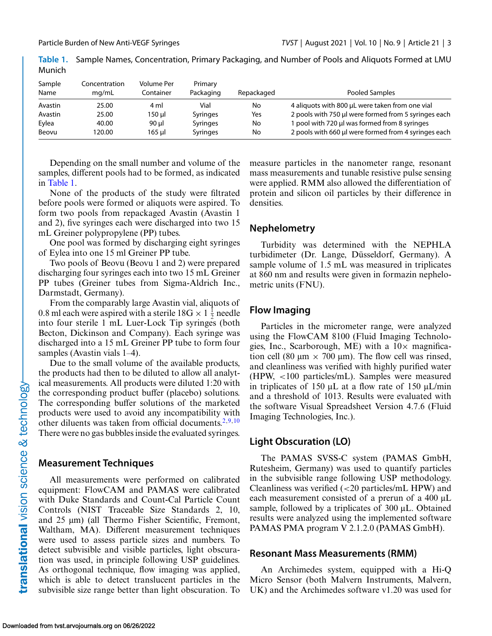| Sample<br>Name | Concentration<br>mq/mL | Volume Per<br>Container | Primary<br>Packaging | Repackaged | Pooled Samples                                       |
|----------------|------------------------|-------------------------|----------------------|------------|------------------------------------------------------|
| Avastin        | 25.00                  | 4 ml                    | Vial                 | No         | 4 aliquots with 800 µL were taken from one vial      |
| Avastin        | 25.00                  | 150 µl                  | <b>Syringes</b>      | Yes        | 2 pools with 750 µl were formed from 5 syringes each |
| Eylea          | 40.00                  | 90 ul                   | <b>Syringes</b>      | No         | pool with 720 µl was formed from 8 syringes          |
| Beovu          | 120.00                 | 165 ul                  | <b>Syringes</b>      | No         | 2 pools with 660 µl were formed from 4 syringes each |

**Table 1.** Sample Names, Concentration, Primary Packaging, and Number of Pools and Aliquots Formed at LMU Munich

Depending on the small number and volume of the samples, different pools had to be formed, as indicated in Table 1.

None of the products of the study were filtrated before pools were formed or aliquots were aspired. To form two pools from repackaged Avastin (Avastin 1 and 2), five syringes each were discharged into two 15 mL Greiner polypropylene (PP) tubes.

One pool was formed by discharging eight syringes of Eylea into one 15 ml Greiner PP tube.

Two pools of Beovu (Beovu 1 and 2) were prepared discharging four syringes each into two 15 mL Greiner PP tubes (Greiner tubes from Sigma-Aldrich Inc., Darmstadt, Germany).

From the comparably large Avastin vial, aliquots of 0.8 ml each were aspired with a sterile  $18G \times 1 \frac{1}{2}$  needle into four sterile 1 mL Luer-Lock Tip syringes (both Becton, Dickinson and Company). Each syringe was discharged into a 15 mL Greiner PP tube to form four samples (Avastin vials 1–4).

Due to the small volume of the available products, the products had then to be diluted to allow all analytical measurements. All products were diluted 1:20 with the corresponding product buffer (placebo) solutions. The corresponding buffer solutions of the marketed products were used to avoid any incompatibility with other diluents was taken from official documents.<sup>[2,](#page-6-0)[9,10](#page-7-0)</sup> There were no gas bubbles inside the evaluated syringes.

#### **Measurement Techniques**

All measurements were performed on calibrated equipment: FlowCAM and PAMAS were calibrated with Duke Standards and Count-Cal Particle Count Controls (NIST Traceable Size Standards 2, 10, and 25 μm) (all Thermo Fisher Scientific, Fremont, Waltham, MA). Different measurement techniques were used to assess particle sizes and numbers. To detect subvisible and visible particles, light obscuration was used, in principle following USP guidelines. As orthogonal technique, flow imaging was applied, which is able to detect translucent particles in the subvisible size range better than light obscuration. To measure particles in the nanometer range, resonant mass measurements and tunable resistive pulse sensing were applied. RMM also allowed the differentiation of protein and silicon oil particles by their difference in densities.

#### **Nephelometry**

Turbidity was determined with the NEPHLA turbidimeter (Dr. Lange, Düsseldorf, Germany). A sample volume of 1.5 mL was measured in triplicates at 860 nm and results were given in formazin nephelometric units (FNU).

# **Flow Imaging**

Particles in the micrometer range, were analyzed using the FlowCAM 8100 (Fluid Imaging Technologies, Inc., Scarborough, ME) with a  $10\times$  magnification cell (80 μm  $\times$  700 μm). The flow cell was rinsed, and cleanliness was verified with highly purified water (HPW, <100 particles/mL). Samples were measured in triplicates of 150 μL at a flow rate of 150 μL/min and a threshold of 1013. Results were evaluated with the software Visual Spreadsheet Version 4.7.6 (Fluid Imaging Technologies, Inc.).

# **Light Obscuration (LO)**

The PAMAS SVSS-C system (PAMAS GmbH, Rutesheim, Germany) was used to quantify particles in the subvisible range following USP methodology. Cleanliness was verified (<20 particles/mL HPW) and each measurement consisted of a prerun of a 400 μL sample, followed by a triplicates of 300 μL. Obtained results were analyzed using the implemented software PAMAS PMA program V 2.1.2.0 (PAMAS GmbH).

#### **Resonant Mass Measurements (RMM)**

An Archimedes system, equipped with a Hi-Q Micro Sensor (both Malvern Instruments, Malvern, UK) and the Archimedes software v1.20 was used for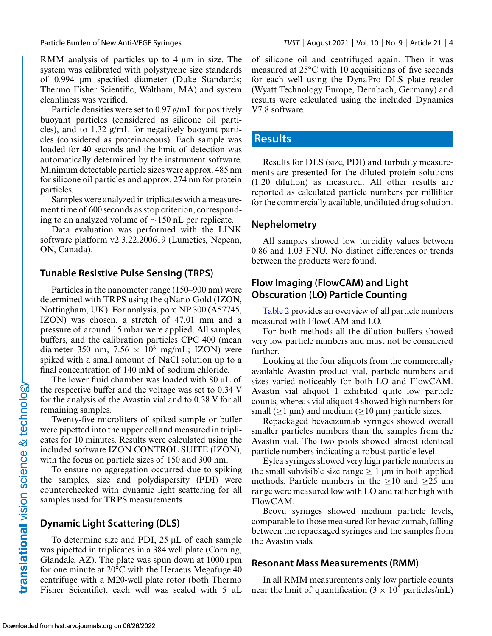RMM analysis of particles up to 4 μm in size. The system was calibrated with polystyrene size standards of 0.994 μm specified diameter (Duke Standards; Thermo Fisher Scientific, Waltham, MA) and system cleanliness was verified.

Particle densities were set to 0.97 g/mL for positively buoyant particles (considered as silicone oil particles), and to 1.32 g/mL for negatively buoyant particles (considered as proteinaceous). Each sample was loaded for 40 seconds and the limit of detection was automatically determined by the instrument software. Minimum detectable particle sizes were approx. 485 nm for silicone oil particles and approx. 274 nm for protein particles.

Samples were analyzed in triplicates with a measurement time of 600 seconds as stop criterion, corresponding to an analyzed volume of ∼150 nL per replicate.

Data evaluation was performed with the LINK software platform v2.3.22.200619 (Lumetics, Nepean, ON, Canada).

#### **Tunable Resistive Pulse Sensing (TRPS)**

Particles in the nanometer range (150–900 nm) were determined with TRPS using the qNano Gold (IZON, Nottingham, UK). For analysis, pore NP 300 (A57745, IZON) was chosen, a stretch of 47.01 mm and a pressure of around 15 mbar were applied. All samples, buffers, and the calibration particles CPC 400 (mean diameter 350 nm, 7.56  $\times$  10<sup>8</sup> mg/mL; IZON) were spiked with a small amount of NaCl solution up to a final concentration of 140 mM of sodium chloride.

The lower fluid chamber was loaded with 80 μL of the respective buffer and the voltage was set to 0.34 V for the analysis of the Avastin vial and to 0.38 V for all remaining samples.

Twenty-five microliters of spiked sample or buffer were pipetted into the upper cell and measured in triplicates for 10 minutes. Results were calculated using the included software IZON CONTROL SUITE (IZON), with the focus on particle sizes of 150 and 300 nm.

To ensure no aggregation occurred due to spiking the samples, size and polydispersity (PDI) were counterchecked with dynamic light scattering for all samples used for TRPS measurements.

# **Dynamic Light Scattering (DLS)**

To determine size and PDI, 25 μL of each sample was pipetted in triplicates in a 384 well plate (Corning, Glandale, AZ). The plate was spun down at 1000 rpm for one minute at 20°C with the Heraeus Megafuge 40 centrifuge with a M20-well plate rotor (both Thermo Fisher Scientific), each well was sealed with 5 μL of silicone oil and centrifuged again. Then it was measured at 25°C with 10 acquisitions of five seconds for each well using the DynaPro DLS plate reader (Wyatt Technology Europe, Dernbach, Germany) and results were calculated using the included Dynamics V7.8 software.

#### **Results**

Results for DLS (size, PDI) and turbidity measurements are presented for the diluted protein solutions (1:20 dilution) as measured. All other results are reported as calculated particle numbers per milliliter for the commercially available, undiluted drug solution.

#### **Nephelometry**

All samples showed low turbidity values between 0.86 and 1.03 FNU. No distinct differences or trends between the products were found.

### **Flow Imaging (FlowCAM) and Light Obscuration (LO) Particle Counting**

[Table 2](#page-4-0) provides an overview of all particle numbers measured with FlowCAM and LO.

For both methods all the dilution buffers showed very low particle numbers and must not be considered further.

Looking at the four aliquots from the commercially available Avastin product vial, particle numbers and sizes varied noticeably for both LO and FlowCAM. Avastin vial aliquot 1 exhibited quite low particle counts, whereas vial aliquot 4 showed high numbers for small ( $\geq$ 1 μm) and medium ( $\geq$ 10 μm) particle sizes.

Repackaged bevacizumab syringes showed overall smaller particles numbers than the samples from the Avastin vial. The two pools showed almost identical particle numbers indicating a robust particle level.

Eylea syringes showed very high particle numbers in the small subvisible size range  $\geq 1$  µm in both applied methods. Particle numbers in the  $>10$  and  $>25 \mu m$ range were measured low with LO and rather high with FlowCAM.

Beovu syringes showed medium particle levels, comparable to those measured for bevacizumab, falling between the repackaged syringes and the samples from the Avastin vials.

#### **Resonant Mass Measurements (RMM)**

In all RMM measurements only low particle counts near the limit of quantification ( $3 \times 10^5$  particles/mL)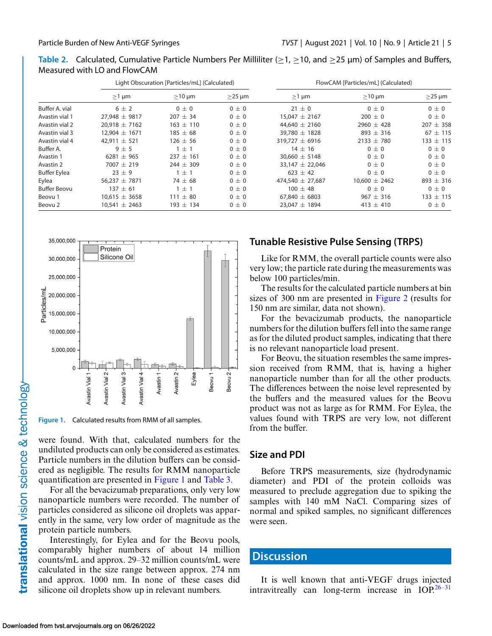<span id="page-4-0"></span>

| Table 2. Calculated, Cumulative Particle Numbers Per Milliliter ( $\geq$ 1, $\geq$ 10, and $\geq$ 25 µm) of Samples and Buffers, |  |
|----------------------------------------------------------------------------------------------------------------------------------|--|
| Measured with LO and FlowCAM                                                                                                     |  |

|                     | Light Obscuration [Particles/mL] (Calculated) |               |              | FlowCAM [Particles/mL] (Calculated) |                   |               |
|---------------------|-----------------------------------------------|---------------|--------------|-------------------------------------|-------------------|---------------|
|                     | $\geq$ 1 µm                                   | $\geq$ 10 µm  | $\geq$ 25 µm | $\geq$ 1 µm                         | $\geq$ 10 µm      | $\geq$ 25 µm  |
| Buffer A. vial      | $6 \pm 2$                                     | $0\pm 0$      | $0 \pm 0$    | $21 \pm 0$                          | $0\pm 0$          | $0 \pm 0$     |
| Avastin vial 1      | $27.948 \pm 9817$                             | $207 \pm 34$  | $0\pm 0$     | $15.047 \pm 2167$                   | $200 \pm 0$       | $0\pm 0$      |
| Avastin vial 2      | $20.918 \pm 7162$                             | $163 \pm 110$ | $0\pm 0$     | 44,640 $\pm$ 2160                   | 2960 $\pm$ 428    | $207 \pm 358$ |
| Avastin vial 3      | $12.904 \pm 1671$                             | $185 \pm 68$  | $0\pm 0$     | $39.780 \pm 1828$                   | $893 \pm 316$     | $67 \pm 115$  |
| Avastin vial 4      | 42.911 $\pm$ 521                              | $126 \pm 56$  | $0\pm 0$     | 319,727 $\pm$ 6916                  | $2133 + 780$      | $133 \pm 115$ |
| Buffer A.           | $9 \pm 5$                                     | ±1            | $0\pm 0$     | $14 \pm 16$                         | $0\pm 0$          | $0 \pm 0$     |
| Avastin 1           | $6281 + 965$                                  | $237 + 161$   | $0\pm 0$     | $30.660 \pm 5148$                   | $0\pm 0$          | $0 \pm 0$     |
| Avastin 2           | $7007 \pm 219$                                | $244 \pm 309$ | $0\pm 0$     | 33,147 $\pm$ 22,046                 | $0\pm 0$          | $0 \pm 0$     |
| <b>Buffer Eylea</b> | $23 \pm 9$                                    | $\pm$ 1       | $0\pm 0$     | $623 \pm 42$                        | $0\pm 0$          | $0 \pm 0$     |
| Eylea               | 56,237 $\pm$ 7871                             | $74 \pm 68$   | $0 \pm 0$    | 474.540 $\pm$ 27.687                | $10.600 \pm 2462$ | $893 \pm 316$ |
| <b>Buffer Beovu</b> | $137 \pm 61$                                  | $+1$          | $0\pm 0$     | $100 \pm 48$                        | $0\pm 0$          | $0\pm 0$      |
| Beovu 1             | $10.615 \pm 3658$                             | $111 \pm 80$  | $0\pm 0$     | 67.840 $\pm$ 6803                   | $967 \pm 316$     | $133 \pm 115$ |
| Beovu 2             | $10.541 \pm 2463$                             | $193 \pm 134$ | $0\pm 0$     | $23.047 \pm 1894$                   | 413 $\pm$ 410     | $0 \pm 0$     |



**Figure 1.** Calculated results from RMM of all samples.

were found. With that, calculated numbers for the undiluted products can only be considered as estimates. Particle numbers in the dilution buffers can be considered as negligible. The results for RMM nanoparticle quantification are presented in Figure 1 and [Table 3.](#page-5-0)

For all the bevacizumab preparations, only very low nanoparticle numbers were recorded. The number of particles considered as silicone oil droplets was apparently in the same, very low order of magnitude as the protein particle numbers.

Interestingly, for Eylea and for the Beovu pools, comparably higher numbers of about 14 million counts/mL and approx. 29–32 million counts/mL were calculated in the size range between approx. 274 nm and approx. 1000 nm. In none of these cases did silicone oil droplets show up in relevant numbers.

# **Tunable Resistive Pulse Sensing (TRPS)**

Like for RMM, the overall particle counts were also very low; the particle rate during the measurements was below 100 particles/min.

The results for the calculated particle numbers at bin sizes of 300 nm are presented in [Figure 2](#page-5-0) (results for 150 nm are similar, data not shown).

For the bevacizumab products, the nanoparticle numbers for the dilution buffers fell into the same range as for the diluted product samples, indicating that there is no relevant nanoparticle load present.

For Beovu, the situation resembles the same impression received from RMM, that is, having a higher nanoparticle number than for all the other products. The differences between the noise level represented by the buffers and the measured values for the Beovu product was not as large as for RMM. For Eylea, the values found with TRPS are very low, not different from the buffer.

# **Size and PDI**

Before TRPS measurements, size (hydrodynamic diameter) and PDI of the protein colloids was measured to preclude aggregation due to spiking the samples with 140 mM NaCl. Comparing sizes of normal and spiked samples, no significant differences were seen.

# **Discussion**

It is well known that anti-VEGF drugs injected intravitreally can long-term increase in  $IOP<sup>26-31</sup>$  $IOP<sup>26-31</sup>$  $IOP<sup>26-31</sup>$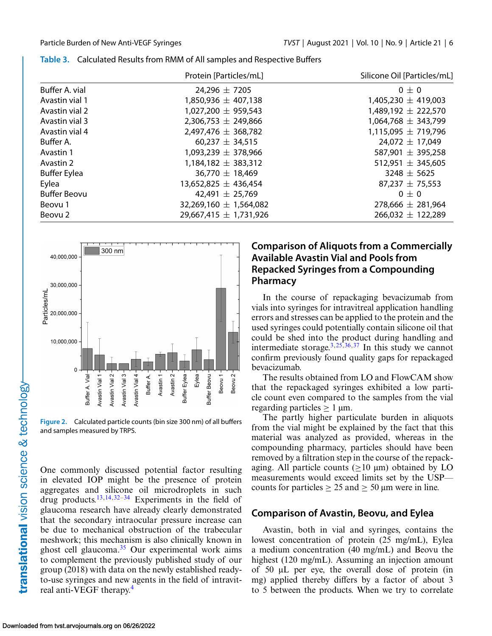|                     | Protein [Particles/mL]     | Silicone Oil [Particles/mL] |
|---------------------|----------------------------|-----------------------------|
| Buffer A. vial      | 24,296 $\pm$ 7205          | $0\pm 0$                    |
| Avastin vial 1      | $1,850,936 \pm 407,138$    | $1,405,230 \pm 419,003$     |
| Avastin vial 2      | $1,027,200 \pm 959,543$    | $1,489,192 \pm 222,570$     |
| Avastin vial 3      | $2,306,753 \pm 249,866$    | $1,064,768 \pm 343,799$     |
| Avastin vial 4      | 2,497,476 $\pm$ 368,782    | $1,115,095 \pm 719,796$     |
| Buffer A.           | 60,237 $\pm$ 34,515        | $24,072 \pm 17,049$         |
| Avastin 1           | $1,093,239 \pm 378,966$    | 587,901 $\pm$ 395,258       |
| Avastin 2           | $1,184,182 \pm 383,312$    | 512,951 $\pm$ 345,605       |
| <b>Buffer Eylea</b> | 36,770 $\pm$ 18,469        | $3248 \pm 5625$             |
| Eylea               | $13,652,825 \pm 436,454$   | $87,237 \pm 75,553$         |
| <b>Buffer Beovu</b> | 42,491 $\pm$ 25,769        | $0\pm 0$                    |
| Beovu 1             | 32,269,160 $\pm$ 1,564,082 | 278,666 $\pm$ 281,964       |
| Beovu 2             | $29,667,415 \pm 1,731,926$ | $266,032 \pm 122,289$       |

<span id="page-5-0"></span>

|  |  |  |  | Table 3. Calculated Results from RMM of All samples and Respective Buffers |  |
|--|--|--|--|----------------------------------------------------------------------------|--|
|--|--|--|--|----------------------------------------------------------------------------|--|



**Figure 2.** Calculated particle counts (bin size 300 nm) of all buffers and samples measured by TRPS.

One commonly discussed potential factor resulting in elevated IOP might be the presence of protein aggregates and silicone oil microdroplets in such drug products[.13,14,](#page-7-0)[32–34](#page-8-0) Experiments in the field of glaucoma research have already clearly demonstrated that the secondary intraocular pressure increase can be due to mechanical obstruction of the trabecular meshwork; this mechanism is also clinically known in ghost cell glaucoma. $35$  Our experimental work aims to complement the previously published study of our group (2018) with data on the newly established readyto-use syringes and new agents in the field of intravit-real anti-VEGF therapy.<sup>[4](#page-6-0)</sup>

### **Comparison of Aliquots from a Commercially Available Avastin Vial and Pools from Repacked Syringes from a Compounding Pharmacy**

In the course of repackaging bevacizumab from vials into syringes for intravitreal application handling errors and stresses can be applied to the protein and the used syringes could potentially contain silicone oil that could be shed into the product during handling and intermediate storage.<sup>[3,](#page-6-0)[25,](#page-7-0)[36,37](#page-8-0)</sup> In this study we cannot confirm previously found quality gaps for repackaged bevacizumab.

The results obtained from LO and FlowCAM show that the repackaged syringes exhibited a low particle count even compared to the samples from the vial regarding particles  $\geq 1$  µm.

The partly higher particulate burden in aliquots from the vial might be explained by the fact that this material was analyzed as provided, whereas in the compounding pharmacy, particles should have been removed by a filtration step in the course of the repackaging. All particle counts ( $\geq 10 \mu m$ ) obtained by LO measurements would exceed limits set by the USP counts for particles  $\geq 25$  and  $\geq 50$  µm were in line.

# **Comparison of Avastin, Beovu, and Eylea**

Avastin, both in vial and syringes, contains the lowest concentration of protein (25 mg/mL), Eylea a medium concentration (40 mg/mL) and Beovu the highest (120 mg/mL). Assuming an injection amount of 50 μL per eye, the overall dose of protein (in mg) applied thereby differs by a factor of about 3 to 5 between the products. When we try to correlate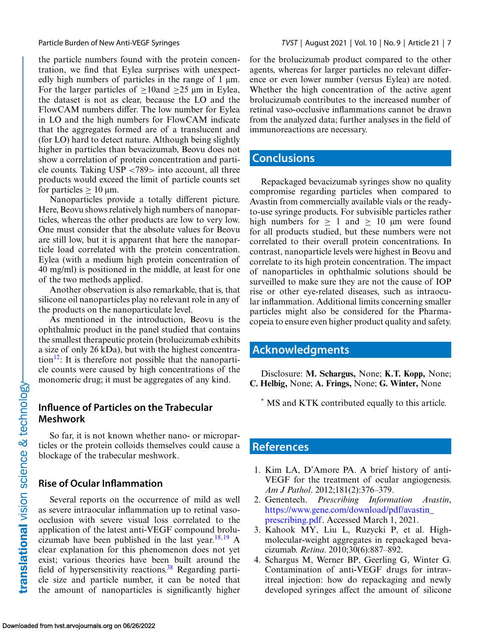<span id="page-6-0"></span>the particle numbers found with the protein concentration, we find that Eylea surprises with unexpectedly high numbers of particles in the range of 1 μm. For the larger particles of  $\geq 10$ and  $\geq 25$  µm in Eylea, the dataset is not as clear, because the LO and the FlowCAM numbers differ. The low number for Eylea in LO and the high numbers for FlowCAM indicate that the aggregates formed are of a translucent and (for LO) hard to detect nature. Although being slightly higher in particles than bevacizumab, Beovu does not show a correlation of protein concentration and particle counts. Taking USP <789> into account, all three products would exceed the limit of particle counts set for particles  $\geq 10$  µm.

Nanoparticles provide a totally different picture. Here, Beovu shows relatively high numbers of nanoparticles, whereas the other products are low to very low. One must consider that the absolute values for Beovu are still low, but it is apparent that here the nanoparticle load correlated with the protein concentration. Eylea (with a medium high protein concentration of 40 mg/ml) is positioned in the middle, at least for one of the two methods applied.

Another observation is also remarkable, that is, that silicone oil nanoparticles play no relevant role in any of the products on the nanoparticulate level.

As mentioned in the introduction, Beovu is the ophthalmic product in the panel studied that contains the smallest therapeutic protein (brolucizumab exhibits a size of only 26 kDa), but with the highest concentration<sup>12</sup>: It is therefore not possible that the nanoparticle counts were caused by high concentrations of the monomeric drug; it must be aggregates of any kind.

# **Influence of Particles on the Trabecular Meshwork**

So far, it is not known whether nano- or microparticles or the protein colloids themselves could cause a blockage of the trabecular meshwork.

# **Rise of Ocular Inflammation**

Several reports on the occurrence of mild as well as severe intraocular inflammation up to retinal vasoocclusion with severe visual loss correlated to the application of the latest anti-VEGF compound brolu-cizumab have been published in the last year.<sup>[18,19](#page-7-0)</sup> A clear explanation for this phenomenon does not yet exist; various theories have been built around the field of hypersensitivity reactions.<sup>38</sup> Regarding particle size and particle number, it can be noted that the amount of nanoparticles is significantly higher for the brolucizumab product compared to the other agents, whereas for larger particles no relevant difference or even lower number (versus Eylea) are noted. Whether the high concentration of the active agent brolucizumab contributes to the increased number of retinal vaso-occlusive inflammations cannot be drawn from the analyzed data; further analyses in the field of immunoreactions are necessary.

# **Conclusions**

Repackaged bevacizumab syringes show no quality compromise regarding particles when compared to Avastin from commercially available vials or the readyto-use syringe products. For subvisible particles rather high numbers for  $> 1$  and  $> 10$  µm were found for all products studied, but these numbers were not correlated to their overall protein concentrations. In contrast, nanoparticle levels were highest in Beovu and correlate to its high protein concentration. The impact of nanoparticles in ophthalmic solutions should be surveilled to make sure they are not the cause of IOP rise or other eye-related diseases, such as intraocular inflammation. Additional limits concerning smaller particles might also be considered for the Pharmacopeia to ensure even higher product quality and safety.

# **Acknowledgments**

Disclosure: **M. Schargus,** None; **K.T. Kopp,** None; **C. Helbig,** None; **A. Frings,** None; **G. Winter,** None

\* MS and KTK contributed equally to this article.

# **References**

- 1. Kim LA, D'Amore PA. A brief history of anti-VEGF for the treatment of ocular angiogenesis. *Am J Pathol*. 2012;181(2):376–379.
- 2. Genentech. *Prescribing Information Avastin*, [https://www.gene.com/download/pdf/avastin\\_](https://www.gene.com/download/pdf/avastin10prescribing.pdf) prescribing.pdf. Accessed March 1, 2021.
- 3. Kahook MY, Liu L, Ruzycki P, et al. Highmolecular-weight aggregates in repackaged bevacizumab. *Retina*. 2010;30(6):887–892.
- 4. Schargus M, Werner BP, Geerling G, Winter G. Contamination of anti-VEGF drugs for intravitreal injection: how do repackaging and newly developed syringes affect the amount of silicone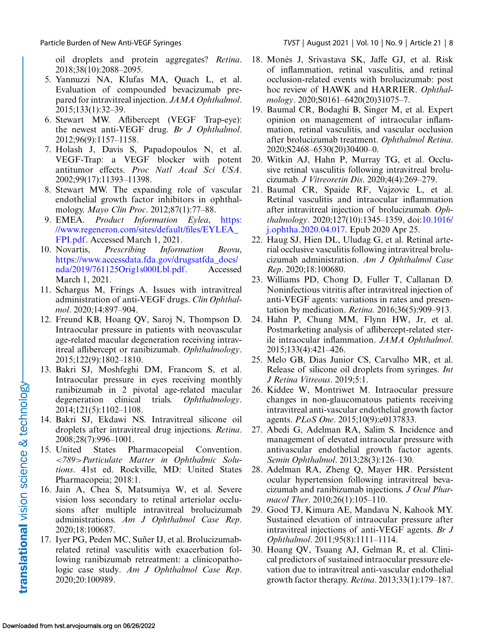<span id="page-7-0"></span>oil droplets and protein aggregates? *Retina*. 2018;38(10):2088–2095.

- 5. Yannuzzi NA, Klufas MA, Quach L, et al. Evaluation of compounded bevacizumab prepared for intravitreal injection. *JAMA Ophthalmol*. 2015;133(1):32–39.
- 6. Stewart MW. Aflibercept (VEGF Trap-eye): the newest anti-VEGF drug. *Br J Ophthalmol*. 2012;96(9):1157–1158.
- 7. Holash J, Davis S, Papadopoulos N, et al. VEGF-Trap: a VEGF blocker with potent antitumor effects. *Proc Natl Acad Sci USA*. 2002;99(17):11393–11398.
- 8. Stewart MW. The expanding role of vascular endothelial growth factor inhibitors in ophthalmology. *Mayo Clin Proc*. 2012;87(1):77–88.
- 9. EMEA. *Product Information Eylea*, https: [//www.regeneron.com/sites/default/files/EYLEA\\_](https://www.regeneron.com/sites/default/files/EYLEA10FPI.pdf) FPI.pdf. Accessed March 1, 2021.
- 10. Novartis, *Prescribing Information Beovu*, https://www.accessdata.fda.gov/drugsatfda\_docs/ [nda/2019/761125Orig1s000Lbl.pdf. Accessed](https://www.accessdata.fda.gov/drugsatfda10docs/nda/2019/761125Orig1s000Lbl.pdf) March 1, 2021.
- 11. Schargus M, Frings A. Issues with intravitreal administration of anti-VEGF drugs. *Clin Ophthalmol*. 2020;14:897–904.
- 12. Freund KB, Hoang QV, Saroj N, Thompson D. Intraocular pressure in patients with neovascular age-related macular degeneration receiving intravitreal aflibercept or ranibizumab. *Ophthalmology*. 2015;122(9):1802–1810.
- 13. Bakri SJ, Moshfeghi DM, Francom S, et al. Intraocular pressure in eyes receiving monthly ranibizumab in 2 pivotal age-related macular degeneration clinical trials. *Ophthalmology*. 2014;121(5):1102–1108.
- 14. Bakri SJ, Ekdawi NS. Intravitreal silicone oil droplets after intravitreal drug injections. *Retina*. 2008;28(7):996–1001.
- 15. United States Pharmacopeial Convention. <*789*>*Particulate Matter in Ophthalmic Solutions*. 41st ed. Rockville, MD: United States Pharmacopeia; 2018:1.
- 16. Jain A, Chea S, Matsumiya W, et al. Severe vision loss secondary to retinal arteriolar occlusions after multiple intravitreal brolucizumab administrations. *Am J Ophthalmol Case Rep*. 2020;18:100687.
- 17. Iyer PG, Peden MC, Suñer IJ, et al. Brolucizumabrelated retinal vasculitis with exacerbation following ranibizumab retreatment: a clinicopathologic case study. *Am J Ophthalmol Case Rep*. 2020;20:100989.
- 18. Monés J, Srivastava SK, Jaffe GJ, et al. Risk of inflammation, retinal vasculitis, and retinal occlusion-related events with brolucizumab: post hoc review of HAWK and HARRIER. *Ophthalmology*. 2020;S0161–6420(20)31075–7.
- 19. Baumal CR, Bodaghi B, Singer M, et al. Expert opinion on management of intraocular inflammation, retinal vasculitis, and vascular occlusion after brolucizumab treatment. *Ophthalmol Retina*. 2020;S2468–6530(20)30400–0.
- 20. Witkin AJ, Hahn P, Murray TG, et al. Occlusive retinal vasculitis following intravitreal brolucizumab. *J Vitreoretin Dis*. 2020;4(4):269–279.
- 21. Baumal CR, Spaide RF, Vajzovic L, et al. Retinal vasculitis and intraocular inflammation after intravitreal injection of brolucizumab. *Ophthalmology*. 2020;127(10):1345–1359, doi:10.1016/ [j.ophtha.2020.04.017. Epub 2020 Apr 25.](http://doi.org/10.1016/j.ophtha.2020.04.017)
- 22. Haug SJ, Hien DL, Uludag G, et al. Retinal arterial occlusive vasculitis following intravitreal brolucizumab administration. *Am J Ophthalmol Case Rep*. 2020;18:100680.
- 23. Williams PD, Chong D, Fuller T, Callanan D. Noninfectious vitritis after intravitreal injection of anti-VEGF agents: variations in rates and presentation by medication. *Retina*. 2016;36(5):909–913.
- 24. Hahn P, Chung MM, Flynn HW, Jr, et al. Postmarketing analysis of aflibercept-related sterile intraocular inflammation. *JAMA Ophthalmol*. 2015;133(4):421–426.
- 25. Melo GB, Dias Junior CS, Carvalho MR, et al. Release of silicone oil droplets from syringes. *Int J Retina Vitreous*. 2019;5:1.
- 26. Kiddee W, Montriwet M. Intraocular pressure changes in non-glaucomatous patients receiving intravitreal anti-vascular endothelial growth factor agents. *PLoS One*. 2015;10(9):e0137833.
- 27. Abedi G, Adelman RA, Salim S. Incidence and management of elevated intraocular pressure with antivascular endothelial growth factor agents. *Semin Ophthalmol*. 2013;28(3):126–130.
- 28. Adelman RA, Zheng Q, Mayer HR. Persistent ocular hypertension following intravitreal bevacizumab and ranibizumab injections. *J Ocul Pharmacol Ther*. 2010;26(1):105–110.
- 29. Good TJ, Kimura AE, Mandava N, Kahook MY. Sustained elevation of intraocular pressure after intravitreal injections of anti-VEGF agents. *Br J Ophthalmol*. 2011;95(8):1111–1114.
- 30. Hoang QV, Tsuang AJ, Gelman R, et al. Clinical predictors of sustained intraocular pressure elevation due to intravitreal anti-vascular endothelial growth factor therapy. *Retina*. 2013;33(1):179–187.